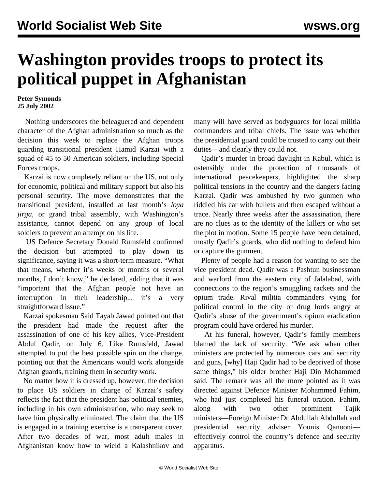## **Washington provides troops to protect its political puppet in Afghanistan**

**Peter Symonds 25 July 2002**

 Nothing underscores the beleaguered and dependent character of the Afghan administration so much as the decision this week to replace the Afghan troops guarding transitional president Hamid Karzai with a squad of 45 to 50 American soldiers, including Special Forces troops.

 Karzai is now completely reliant on the US, not only for economic, political and military support but also his personal security. The move demonstrates that the transitional president, installed at last month's *loya jirga,* or grand tribal assembly, with Washington's assistance, cannot depend on any group of local soldiers to prevent an attempt on his life.

 US Defence Secretary Donald Rumsfeld confirmed the decision but attempted to play down its significance, saying it was a short-term measure. "What that means, whether it's weeks or months or several months, I don't know," he declared, adding that it was "important that the Afghan people not have an interruption in their leadership... it's a very straightforward issue."

 Karzai spokesman Said Tayab Jawad pointed out that the president had made the request after the assassination of one of his key allies, Vice-President Abdul Qadir, on July 6. Like Rumsfeld, Jawad attempted to put the best possible spin on the change, pointing out that the Americans would work alongside Afghan guards, training them in security work.

 No matter how it is dressed up, however, the decision to place US soldiers in charge of Karzai's safety reflects the fact that the president has political enemies, including in his own administration, who may seek to have him physically eliminated. The claim that the US is engaged in a training exercise is a transparent cover. After two decades of war, most adult males in Afghanistan know how to wield a Kalashnikov and many will have served as bodyguards for local militia commanders and tribal chiefs. The issue was whether the presidential guard could be trusted to carry out their duties—and clearly they could not.

 Qadir's murder in broad daylight in Kabul, which is ostensibly under the protection of thousands of international peacekeepers, highlighted the sharp political tensions in the country and the dangers facing Karzai. Qadir was ambushed by two gunmen who riddled his car with bullets and then escaped without a trace. Nearly three weeks after the assassination, there are no clues as to the identity of the killers or who set the plot in motion. Some 15 people have been detained, mostly Qadir's guards, who did nothing to defend him or capture the gunmen.

 Plenty of people had a reason for wanting to see the vice president dead. Qadir was a Pashtun businessman and warlord from the eastern city of Jalalabad, with connections to the region's smuggling rackets and the opium trade. Rival militia commanders vying for political control in the city or drug lords angry at Qadir's abuse of the government's opium eradication program could have ordered his murder.

 At his funeral, however, Qadir's family members blamed the lack of security. "We ask when other ministers are protected by numerous cars and security and guns, [why] Haji Qadir had to be deprived of those same things," his older brother Haji Din Mohammed said. The remark was all the more pointed as it was directed against Defence Minister Mohammed Fahim, who had just completed his funeral oration. Fahim, along with two other prominent Tajik ministers—Foreign Minister Dr Abdullah Abdullah and presidential security adviser Younis Qanooni effectively control the country's defence and security apparatus.